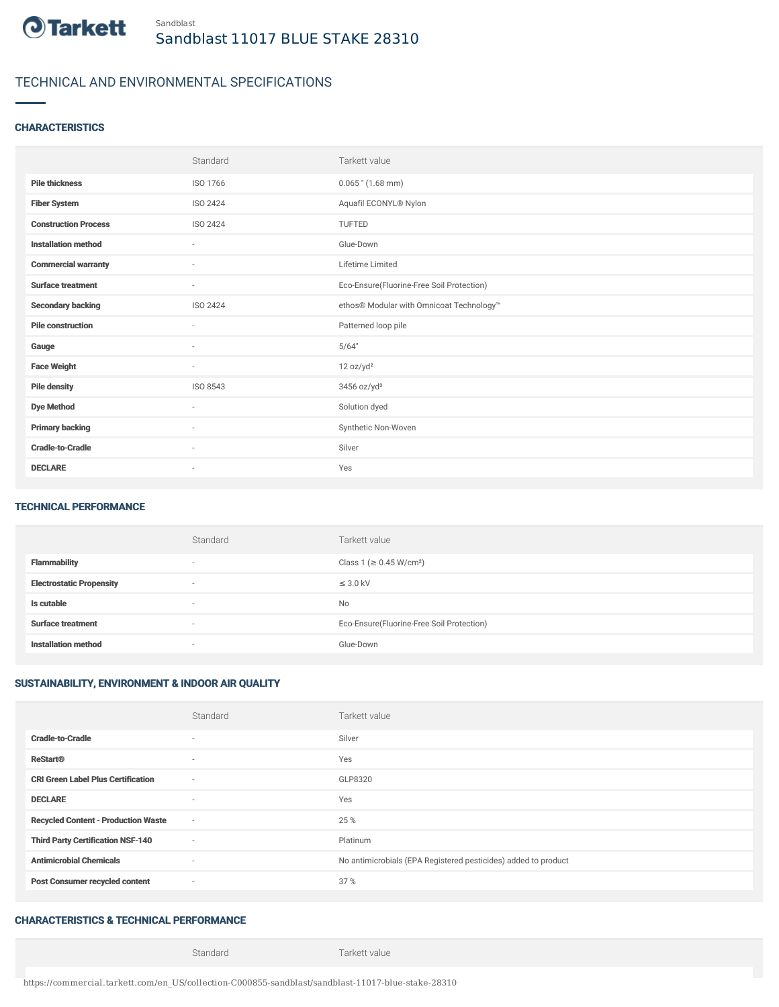

## TECHNICAL AND ENVIRONMENTAL SPECIFICATIONS

#### **CHARACTERISTICS**

|                             | Standard                 | Tarkett value                             |
|-----------------------------|--------------------------|-------------------------------------------|
| <b>Pile thickness</b>       | ISO 1766                 | $0.065$ " (1.68 mm)                       |
| <b>Fiber System</b>         | ISO 2424                 | Aquafil ECONYL® Nylon                     |
| <b>Construction Process</b> | ISO 2424                 | TUFTED                                    |
| <b>Installation method</b>  | $\sim$                   | Glue-Down                                 |
| <b>Commercial warranty</b>  | $\sim$                   | Lifetime Limited                          |
| <b>Surface treatment</b>    | $\sim$                   | Eco-Ensure(Fluorine-Free Soil Protection) |
| <b>Secondary backing</b>    | ISO 2424                 | ethos® Modular with Omnicoat Technology™  |
| <b>Pile construction</b>    | ٠                        | Patterned loop pile                       |
| Gauge                       | $\sim$                   | 5/64"                                     |
| <b>Face Weight</b>          | $\sim$                   | 12 oz/yd <sup>2</sup>                     |
| <b>Pile density</b>         | ISO 8543                 | $3456$ oz/yd <sup>3</sup>                 |
| <b>Dye Method</b>           | $\overline{\phantom{a}}$ | Solution dyed                             |
| <b>Primary backing</b>      | $\sim$                   | Synthetic Non-Woven                       |
| <b>Cradle-to-Cradle</b>     | ٠                        | Silver                                    |
| <b>DECLARE</b>              | $\overline{\phantom{a}}$ | Yes                                       |

#### TECHNICAL PERFORMANCE

|                                 | Standard                 | Tarkett value                             |
|---------------------------------|--------------------------|-------------------------------------------|
| <b>Flammability</b>             | $\overline{\phantom{a}}$ | Class 1 (≥ 0.45 W/cm <sup>2</sup> )       |
| <b>Electrostatic Propensity</b> | $\overline{\phantom{a}}$ | $\leq$ 3.0 kV                             |
| Is cutable                      | $\overline{\phantom{a}}$ | No                                        |
| <b>Surface treatment</b>        | $\overline{\phantom{a}}$ | Eco-Ensure(Fluorine-Free Soil Protection) |
| <b>Installation method</b>      | $\overline{\phantom{a}}$ | Glue-Down                                 |

## SUSTAINABILITY, ENVIRONMENT & INDOOR AIR QUALITY

|                                            | Standard                 | Tarkett value                                                  |
|--------------------------------------------|--------------------------|----------------------------------------------------------------|
| <b>Cradle-to-Cradle</b>                    | ۰                        | Silver                                                         |
| <b>ReStart®</b>                            | $\sim$                   | Yes                                                            |
| <b>CRI Green Label Plus Certification</b>  | $\overline{\phantom{a}}$ | GLP8320                                                        |
| <b>DECLARE</b>                             | $\sim$                   | Yes                                                            |
| <b>Recycled Content - Production Waste</b> | $\sim$                   | 25 %                                                           |
| <b>Third Party Certification NSF-140</b>   | $\sim$                   | Platinum                                                       |
| <b>Antimicrobial Chemicals</b>             | $\sim$                   | No antimicrobials (EPA Registered pesticides) added to product |
| <b>Post Consumer recycled content</b>      | $\sim$                   | 37%                                                            |

## CHARACTERISTICS & TECHNICAL PERFORMANCE

Standard Tarkett value